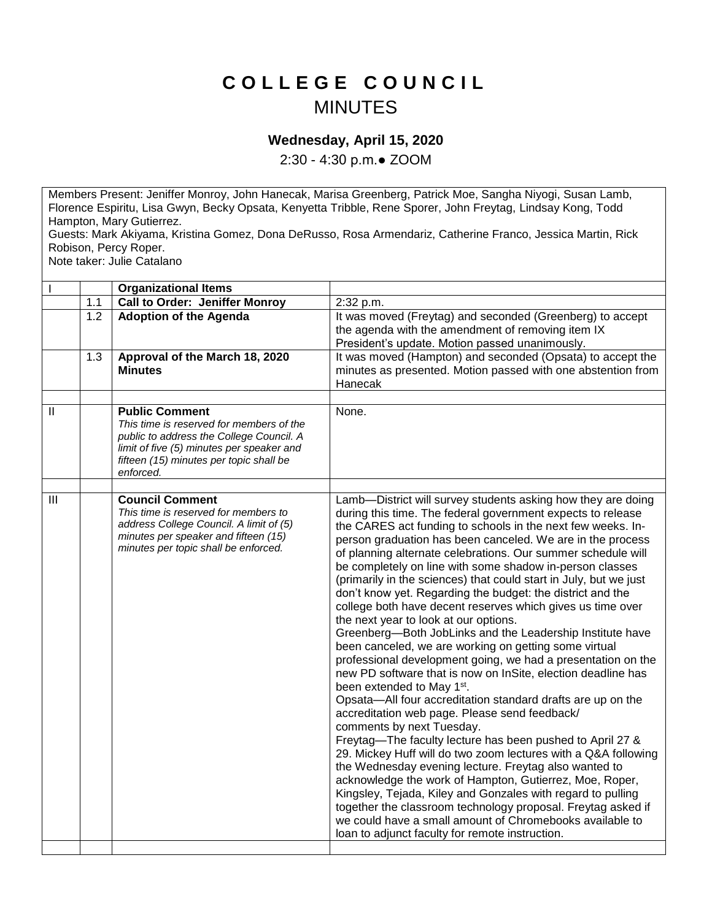## **C O L L E G E C O U N C I L** MINUTES

## **Wednesday, April 15, 2020**

2:30 - 4:30 p.m.● ZOOM

Members Present: Jeniffer Monroy, John Hanecak, Marisa Greenberg, Patrick Moe, Sangha Niyogi, Susan Lamb, Florence Espiritu, Lisa Gwyn, Becky Opsata, Kenyetta Tribble, Rene Sporer, John Freytag, Lindsay Kong, Todd Hampton, Mary Gutierrez.

Guests: Mark Akiyama, Kristina Gomez, Dona DeRusso, Rosa Armendariz, Catherine Franco, Jessica Martin, Rick Robison, Percy Roper.

Note taker: Julie Catalano

|                |                  | <b>Organizational Items</b>                                                                                                                                                                                        |                                                                                                                                                                                                                                                                                                                                                                                                                                                                                                                                                                                                                                                                                                                                                                                                                                                                                                                                                                                                                                                                                                                                                                                                                                                                                                                                                                                                                                                                                                                                                                              |
|----------------|------------------|--------------------------------------------------------------------------------------------------------------------------------------------------------------------------------------------------------------------|------------------------------------------------------------------------------------------------------------------------------------------------------------------------------------------------------------------------------------------------------------------------------------------------------------------------------------------------------------------------------------------------------------------------------------------------------------------------------------------------------------------------------------------------------------------------------------------------------------------------------------------------------------------------------------------------------------------------------------------------------------------------------------------------------------------------------------------------------------------------------------------------------------------------------------------------------------------------------------------------------------------------------------------------------------------------------------------------------------------------------------------------------------------------------------------------------------------------------------------------------------------------------------------------------------------------------------------------------------------------------------------------------------------------------------------------------------------------------------------------------------------------------------------------------------------------------|
|                | 1.1              | <b>Call to Order: Jeniffer Monroy</b>                                                                                                                                                                              | 2:32 p.m.                                                                                                                                                                                                                                                                                                                                                                                                                                                                                                                                                                                                                                                                                                                                                                                                                                                                                                                                                                                                                                                                                                                                                                                                                                                                                                                                                                                                                                                                                                                                                                    |
|                | $1.\overline{2}$ | <b>Adoption of the Agenda</b>                                                                                                                                                                                      | It was moved (Freytag) and seconded (Greenberg) to accept<br>the agenda with the amendment of removing item IX<br>President's update. Motion passed unanimously.                                                                                                                                                                                                                                                                                                                                                                                                                                                                                                                                                                                                                                                                                                                                                                                                                                                                                                                                                                                                                                                                                                                                                                                                                                                                                                                                                                                                             |
|                | 1.3              | Approval of the March 18, 2020<br><b>Minutes</b>                                                                                                                                                                   | It was moved (Hampton) and seconded (Opsata) to accept the<br>minutes as presented. Motion passed with one abstention from<br>Hanecak                                                                                                                                                                                                                                                                                                                                                                                                                                                                                                                                                                                                                                                                                                                                                                                                                                                                                                                                                                                                                                                                                                                                                                                                                                                                                                                                                                                                                                        |
|                |                  |                                                                                                                                                                                                                    |                                                                                                                                                                                                                                                                                                                                                                                                                                                                                                                                                                                                                                                                                                                                                                                                                                                                                                                                                                                                                                                                                                                                                                                                                                                                                                                                                                                                                                                                                                                                                                              |
| $\mathbf{  }$  |                  | <b>Public Comment</b><br>This time is reserved for members of the<br>public to address the College Council. A<br>limit of five (5) minutes per speaker and<br>fifteen (15) minutes per topic shall be<br>enforced. | None.                                                                                                                                                                                                                                                                                                                                                                                                                                                                                                                                                                                                                                                                                                                                                                                                                                                                                                                                                                                                                                                                                                                                                                                                                                                                                                                                                                                                                                                                                                                                                                        |
|                |                  |                                                                                                                                                                                                                    |                                                                                                                                                                                                                                                                                                                                                                                                                                                                                                                                                                                                                                                                                                                                                                                                                                                                                                                                                                                                                                                                                                                                                                                                                                                                                                                                                                                                                                                                                                                                                                              |
| $\mathbf{III}$ |                  | <b>Council Comment</b><br>This time is reserved for members to<br>address College Council. A limit of (5)<br>minutes per speaker and fifteen (15)<br>minutes per topic shall be enforced.                          | Lamb-District will survey students asking how they are doing<br>during this time. The federal government expects to release<br>the CARES act funding to schools in the next few weeks. In-<br>person graduation has been canceled. We are in the process<br>of planning alternate celebrations. Our summer schedule will<br>be completely on line with some shadow in-person classes<br>(primarily in the sciences) that could start in July, but we just<br>don't know yet. Regarding the budget: the district and the<br>college both have decent reserves which gives us time over<br>the next year to look at our options.<br>Greenberg-Both JobLinks and the Leadership Institute have<br>been canceled, we are working on getting some virtual<br>professional development going, we had a presentation on the<br>new PD software that is now on InSite, election deadline has<br>been extended to May 1 <sup>st</sup> .<br>Opsata-All four accreditation standard drafts are up on the<br>accreditation web page. Please send feedback/<br>comments by next Tuesday.<br>Freytag-The faculty lecture has been pushed to April 27 &<br>29. Mickey Huff will do two zoom lectures with a Q&A following<br>the Wednesday evening lecture. Freytag also wanted to<br>acknowledge the work of Hampton, Gutierrez, Moe, Roper,<br>Kingsley, Tejada, Kiley and Gonzales with regard to pulling<br>together the classroom technology proposal. Freytag asked if<br>we could have a small amount of Chromebooks available to<br>loan to adjunct faculty for remote instruction. |